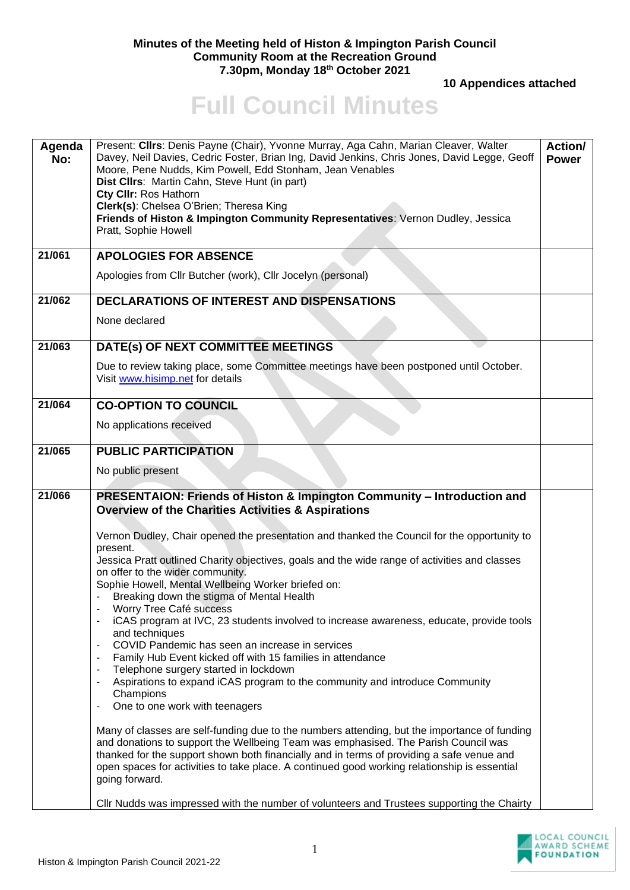## **Minutes of the Meeting held of Histon & Impington Parish Council Community Room at the Recreation Ground 7.30pm, Monday 18th October 2021**

 **10 Appendices attached** 

## **Full Council Minutes**

| Agenda<br>No: | Present: Cllrs: Denis Payne (Chair), Yvonne Murray, Aga Cahn, Marian Cleaver, Walter<br>Davey, Neil Davies, Cedric Foster, Brian Ing, David Jenkins, Chris Jones, David Legge, Geoff<br>Moore, Pene Nudds, Kim Powell, Edd Stonham, Jean Venables<br>Dist Cllrs: Martin Cahn, Steve Hunt (in part)<br>Cty CIIr: Ros Hathorn<br>Clerk(s): Chelsea O'Brien; Theresa King<br>Friends of Histon & Impington Community Representatives: Vernon Dudley, Jessica<br>Pratt, Sophie Howell                                                                                                                                                                                                                                                                                                                                                                                                                                                                                                                                                                                                                                                                                                                                                                                                                                                                                                                                                                | Action/<br><b>Power</b> |
|---------------|--------------------------------------------------------------------------------------------------------------------------------------------------------------------------------------------------------------------------------------------------------------------------------------------------------------------------------------------------------------------------------------------------------------------------------------------------------------------------------------------------------------------------------------------------------------------------------------------------------------------------------------------------------------------------------------------------------------------------------------------------------------------------------------------------------------------------------------------------------------------------------------------------------------------------------------------------------------------------------------------------------------------------------------------------------------------------------------------------------------------------------------------------------------------------------------------------------------------------------------------------------------------------------------------------------------------------------------------------------------------------------------------------------------------------------------------------|-------------------------|
| 21/061        | <b>APOLOGIES FOR ABSENCE</b><br>Apologies from Cllr Butcher (work), Cllr Jocelyn (personal)                                                                                                                                                                                                                                                                                                                                                                                                                                                                                                                                                                                                                                                                                                                                                                                                                                                                                                                                                                                                                                                                                                                                                                                                                                                                                                                                                      |                         |
| 21/062        | <b>DECLARATIONS OF INTEREST AND DISPENSATIONS</b><br>None declared                                                                                                                                                                                                                                                                                                                                                                                                                                                                                                                                                                                                                                                                                                                                                                                                                                                                                                                                                                                                                                                                                                                                                                                                                                                                                                                                                                               |                         |
| 21/063        | DATE(s) OF NEXT COMMITTEE MEETINGS<br>Due to review taking place, some Committee meetings have been postponed until October.<br>Visit www.hisimp.net for details                                                                                                                                                                                                                                                                                                                                                                                                                                                                                                                                                                                                                                                                                                                                                                                                                                                                                                                                                                                                                                                                                                                                                                                                                                                                                 |                         |
| 21/064        | <b>CO-OPTION TO COUNCIL</b><br>No applications received                                                                                                                                                                                                                                                                                                                                                                                                                                                                                                                                                                                                                                                                                                                                                                                                                                                                                                                                                                                                                                                                                                                                                                                                                                                                                                                                                                                          |                         |
| 21/065        | <b>PUBLIC PARTICIPATION</b><br>No public present                                                                                                                                                                                                                                                                                                                                                                                                                                                                                                                                                                                                                                                                                                                                                                                                                                                                                                                                                                                                                                                                                                                                                                                                                                                                                                                                                                                                 |                         |
| 21/066        | PRESENTAION: Friends of Histon & Impington Community - Introduction and<br><b>Overview of the Charities Activities &amp; Aspirations</b><br>Vernon Dudley, Chair opened the presentation and thanked the Council for the opportunity to<br>present.<br>Jessica Pratt outlined Charity objectives, goals and the wide range of activities and classes<br>on offer to the wider community.<br>Sophie Howell, Mental Wellbeing Worker briefed on:<br>Breaking down the stigma of Mental Health<br>Worry Tree Café success<br>iCAS program at IVC, 23 students involved to increase awareness, educate, provide tools<br>and techniques<br>COVID Pandemic has seen an increase in services<br>Family Hub Event kicked off with 15 families in attendance<br>Telephone surgery started in lockdown<br>Aspirations to expand iCAS program to the community and introduce Community<br>Champions<br>One to one work with teenagers<br>$\blacksquare$<br>Many of classes are self-funding due to the numbers attending, but the importance of funding<br>and donations to support the Wellbeing Team was emphasised. The Parish Council was<br>thanked for the support shown both financially and in terms of providing a safe venue and<br>open spaces for activities to take place. A continued good working relationship is essential<br>going forward.<br>CIIr Nudds was impressed with the number of volunteers and Trustees supporting the Chairty |                         |

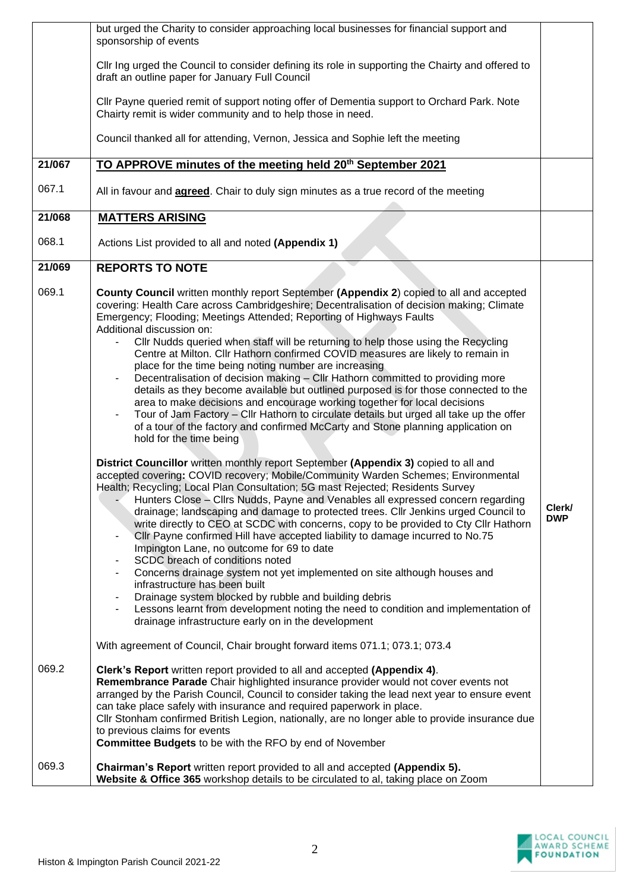|        | but urged the Charity to consider approaching local businesses for financial support and<br>sponsorship of events                                                                                                                                                                                                                                                                                                                                                                                                                                                                                                                                                                                                                                                                                                                                                                                                                                                                                                                                                                                                                                                                                                                                                                                                                                                                                                                                                                                                                                                                                                                                                                                                                                                                                                                                                                                                                                                                                                                                                     |                      |
|--------|-----------------------------------------------------------------------------------------------------------------------------------------------------------------------------------------------------------------------------------------------------------------------------------------------------------------------------------------------------------------------------------------------------------------------------------------------------------------------------------------------------------------------------------------------------------------------------------------------------------------------------------------------------------------------------------------------------------------------------------------------------------------------------------------------------------------------------------------------------------------------------------------------------------------------------------------------------------------------------------------------------------------------------------------------------------------------------------------------------------------------------------------------------------------------------------------------------------------------------------------------------------------------------------------------------------------------------------------------------------------------------------------------------------------------------------------------------------------------------------------------------------------------------------------------------------------------------------------------------------------------------------------------------------------------------------------------------------------------------------------------------------------------------------------------------------------------------------------------------------------------------------------------------------------------------------------------------------------------------------------------------------------------------------------------------------------------|----------------------|
|        | CIIr Ing urged the Council to consider defining its role in supporting the Chairty and offered to<br>draft an outline paper for January Full Council                                                                                                                                                                                                                                                                                                                                                                                                                                                                                                                                                                                                                                                                                                                                                                                                                                                                                                                                                                                                                                                                                                                                                                                                                                                                                                                                                                                                                                                                                                                                                                                                                                                                                                                                                                                                                                                                                                                  |                      |
|        | Cllr Payne queried remit of support noting offer of Dementia support to Orchard Park. Note<br>Chairty remit is wider community and to help those in need.                                                                                                                                                                                                                                                                                                                                                                                                                                                                                                                                                                                                                                                                                                                                                                                                                                                                                                                                                                                                                                                                                                                                                                                                                                                                                                                                                                                                                                                                                                                                                                                                                                                                                                                                                                                                                                                                                                             |                      |
|        | Council thanked all for attending, Vernon, Jessica and Sophie left the meeting                                                                                                                                                                                                                                                                                                                                                                                                                                                                                                                                                                                                                                                                                                                                                                                                                                                                                                                                                                                                                                                                                                                                                                                                                                                                                                                                                                                                                                                                                                                                                                                                                                                                                                                                                                                                                                                                                                                                                                                        |                      |
| 21/067 | TO APPROVE minutes of the meeting held 20th September 2021                                                                                                                                                                                                                                                                                                                                                                                                                                                                                                                                                                                                                                                                                                                                                                                                                                                                                                                                                                                                                                                                                                                                                                                                                                                                                                                                                                                                                                                                                                                                                                                                                                                                                                                                                                                                                                                                                                                                                                                                            |                      |
| 067.1  | All in favour and <b>agreed</b> . Chair to duly sign minutes as a true record of the meeting                                                                                                                                                                                                                                                                                                                                                                                                                                                                                                                                                                                                                                                                                                                                                                                                                                                                                                                                                                                                                                                                                                                                                                                                                                                                                                                                                                                                                                                                                                                                                                                                                                                                                                                                                                                                                                                                                                                                                                          |                      |
| 21/068 | <b>MATTERS ARISING</b>                                                                                                                                                                                                                                                                                                                                                                                                                                                                                                                                                                                                                                                                                                                                                                                                                                                                                                                                                                                                                                                                                                                                                                                                                                                                                                                                                                                                                                                                                                                                                                                                                                                                                                                                                                                                                                                                                                                                                                                                                                                |                      |
| 068.1  | Actions List provided to all and noted (Appendix 1)                                                                                                                                                                                                                                                                                                                                                                                                                                                                                                                                                                                                                                                                                                                                                                                                                                                                                                                                                                                                                                                                                                                                                                                                                                                                                                                                                                                                                                                                                                                                                                                                                                                                                                                                                                                                                                                                                                                                                                                                                   |                      |
| 21/069 | <b>REPORTS TO NOTE</b>                                                                                                                                                                                                                                                                                                                                                                                                                                                                                                                                                                                                                                                                                                                                                                                                                                                                                                                                                                                                                                                                                                                                                                                                                                                                                                                                                                                                                                                                                                                                                                                                                                                                                                                                                                                                                                                                                                                                                                                                                                                |                      |
| 069.1  | County Council written monthly report September (Appendix 2) copied to all and accepted<br>covering: Health Care across Cambridgeshire; Decentralisation of decision making; Climate<br>Emergency; Flooding; Meetings Attended; Reporting of Highways Faults<br>Additional discussion on:<br>Cllr Nudds queried when staff will be returning to help those using the Recycling<br>Centre at Milton. Cllr Hathorn confirmed COVID measures are likely to remain in<br>place for the time being noting number are increasing<br>Decentralisation of decision making - Cllr Hathorn committed to providing more<br>۰<br>details as they become available but outlined purposed is for those connected to the<br>area to make decisions and encourage working together for local decisions<br>Tour of Jam Factory - Cllr Hathorn to circulate details but urged all take up the offer<br>$\qquad \qquad \blacksquare$<br>of a tour of the factory and confirmed McCarty and Stone planning application on<br>hold for the time being<br>District Councillor written monthly report September (Appendix 3) copied to all and<br>accepted covering: COVID recovery; Mobile/Community Warden Schemes; Environmental<br>Health; Recycling; Local Plan Consultation; 5G mast Rejected; Residents Survey<br>Hunters Close - Clirs Nudds, Payne and Venables all expressed concern regarding<br>drainage; landscaping and damage to protected trees. Cllr Jenkins urged Council to<br>write directly to CEO at SCDC with concerns, copy to be provided to Cty Cllr Hathorn<br>CIIr Payne confirmed Hill have accepted liability to damage incurred to No.75<br>$\blacksquare$<br>Impington Lane, no outcome for 69 to date<br>SCDC breach of conditions noted<br>Concerns drainage system not yet implemented on site although houses and<br>infrastructure has been built<br>Drainage system blocked by rubble and building debris<br>Lessons learnt from development noting the need to condition and implementation of<br>drainage infrastructure early on in the development | Clerk/<br><b>DWP</b> |
|        | With agreement of Council, Chair brought forward items 071.1; 073.1; 073.4                                                                                                                                                                                                                                                                                                                                                                                                                                                                                                                                                                                                                                                                                                                                                                                                                                                                                                                                                                                                                                                                                                                                                                                                                                                                                                                                                                                                                                                                                                                                                                                                                                                                                                                                                                                                                                                                                                                                                                                            |                      |
| 069.2  | Clerk's Report written report provided to all and accepted (Appendix 4).<br>Remembrance Parade Chair highlighted insurance provider would not cover events not<br>arranged by the Parish Council, Council to consider taking the lead next year to ensure event<br>can take place safely with insurance and required paperwork in place.<br>CIIr Stonham confirmed British Legion, nationally, are no longer able to provide insurance due<br>to previous claims for events<br>Committee Budgets to be with the RFO by end of November                                                                                                                                                                                                                                                                                                                                                                                                                                                                                                                                                                                                                                                                                                                                                                                                                                                                                                                                                                                                                                                                                                                                                                                                                                                                                                                                                                                                                                                                                                                                |                      |
| 069.3  | Chairman's Report written report provided to all and accepted (Appendix 5).<br>Website & Office 365 workshop details to be circulated to al, taking place on Zoom                                                                                                                                                                                                                                                                                                                                                                                                                                                                                                                                                                                                                                                                                                                                                                                                                                                                                                                                                                                                                                                                                                                                                                                                                                                                                                                                                                                                                                                                                                                                                                                                                                                                                                                                                                                                                                                                                                     |                      |

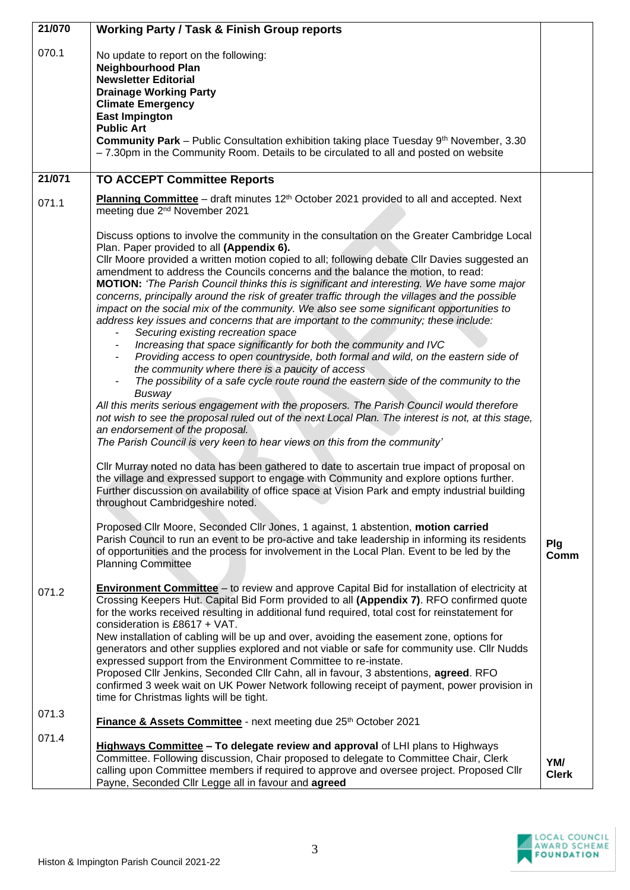| 21/070 | <b>Working Party / Task &amp; Finish Group reports</b>                                                                                                                                                                                                                                                                                                                                                                                                                                                                                                                                                                                                                                                                                                                                                                                                                                                                                                                                                                                                                                                                                                                                                                                                                                                                                                                                            |                     |
|--------|---------------------------------------------------------------------------------------------------------------------------------------------------------------------------------------------------------------------------------------------------------------------------------------------------------------------------------------------------------------------------------------------------------------------------------------------------------------------------------------------------------------------------------------------------------------------------------------------------------------------------------------------------------------------------------------------------------------------------------------------------------------------------------------------------------------------------------------------------------------------------------------------------------------------------------------------------------------------------------------------------------------------------------------------------------------------------------------------------------------------------------------------------------------------------------------------------------------------------------------------------------------------------------------------------------------------------------------------------------------------------------------------------|---------------------|
| 070.1  | No update to report on the following:<br><b>Neighbourhood Plan</b><br><b>Newsletter Editorial</b><br><b>Drainage Working Party</b><br><b>Climate Emergency</b><br><b>East Impington</b>                                                                                                                                                                                                                                                                                                                                                                                                                                                                                                                                                                                                                                                                                                                                                                                                                                                                                                                                                                                                                                                                                                                                                                                                           |                     |
|        | <b>Public Art</b><br><b>Community Park</b> – Public Consultation exhibition taking place Tuesday 9 <sup>th</sup> November, 3.30<br>-7.30pm in the Community Room. Details to be circulated to all and posted on website                                                                                                                                                                                                                                                                                                                                                                                                                                                                                                                                                                                                                                                                                                                                                                                                                                                                                                                                                                                                                                                                                                                                                                           |                     |
| 21/071 | <b>TO ACCEPT Committee Reports</b>                                                                                                                                                                                                                                                                                                                                                                                                                                                                                                                                                                                                                                                                                                                                                                                                                                                                                                                                                                                                                                                                                                                                                                                                                                                                                                                                                                |                     |
| 071.1  | Planning Committee - draft minutes 12 <sup>th</sup> October 2021 provided to all and accepted. Next<br>meeting due 2 <sup>nd</sup> November 2021                                                                                                                                                                                                                                                                                                                                                                                                                                                                                                                                                                                                                                                                                                                                                                                                                                                                                                                                                                                                                                                                                                                                                                                                                                                  |                     |
|        | Discuss options to involve the community in the consultation on the Greater Cambridge Local<br>Plan. Paper provided to all (Appendix 6).<br>CIIr Moore provided a written motion copied to all; following debate CIIr Davies suggested an<br>amendment to address the Councils concerns and the balance the motion, to read:<br><b>MOTION:</b> 'The Parish Council thinks this is significant and interesting. We have some major<br>concerns, principally around the risk of greater traffic through the villages and the possible<br>impact on the social mix of the community. We also see some significant opportunities to<br>address key issues and concerns that are important to the community; these include:<br>Securing existing recreation space<br>Increasing that space significantly for both the community and IVC<br>Providing access to open countryside, both formal and wild, on the eastern side of<br>the community where there is a paucity of access<br>The possibility of a safe cycle route round the eastern side of the community to the<br>Busway<br>All this merits serious engagement with the proposers. The Parish Council would therefore<br>not wish to see the proposal ruled out of the next Local Plan. The interest is not, at this stage,<br>an endorsement of the proposal.<br>The Parish Council is very keen to hear views on this from the community' |                     |
|        | Cllr Murray noted no data has been gathered to date to ascertain true impact of proposal on<br>the village and expressed support to engage with Community and explore options further.<br>Further discussion on availability of office space at Vision Park and empty industrial building<br>throughout Cambridgeshire noted.<br>Proposed Cllr Moore, Seconded Cllr Jones, 1 against, 1 abstention, motion carried                                                                                                                                                                                                                                                                                                                                                                                                                                                                                                                                                                                                                                                                                                                                                                                                                                                                                                                                                                                |                     |
|        | Parish Council to run an event to be pro-active and take leadership in informing its residents<br>of opportunities and the process for involvement in the Local Plan. Event to be led by the<br><b>Planning Committee</b>                                                                                                                                                                                                                                                                                                                                                                                                                                                                                                                                                                                                                                                                                                                                                                                                                                                                                                                                                                                                                                                                                                                                                                         | Plg<br>Comm         |
| 071.2  | Environment Committee - to review and approve Capital Bid for installation of electricity at<br>Crossing Keepers Hut. Capital Bid Form provided to all (Appendix 7). RFO confirmed quote<br>for the works received resulting in additional fund required, total cost for reinstatement for<br>consideration is £8617 + VAT.<br>New installation of cabling will be up and over, avoiding the easement zone, options for<br>generators and other supplies explored and not viable or safe for community use. Cllr Nudds<br>expressed support from the Environment Committee to re-instate.<br>Proposed Cllr Jenkins, Seconded Cllr Cahn, all in favour, 3 abstentions, agreed. RFO<br>confirmed 3 week wait on UK Power Network following receipt of payment, power provision in<br>time for Christmas lights will be tight.                                                                                                                                                                                                                                                                                                                                                                                                                                                                                                                                                                       |                     |
| 071.3  | Finance & Assets Committee - next meeting due 25th October 2021                                                                                                                                                                                                                                                                                                                                                                                                                                                                                                                                                                                                                                                                                                                                                                                                                                                                                                                                                                                                                                                                                                                                                                                                                                                                                                                                   |                     |
| 071.4  | Highways Committee - To delegate review and approval of LHI plans to Highways<br>Committee. Following discussion, Chair proposed to delegate to Committee Chair, Clerk<br>calling upon Committee members if required to approve and oversee project. Proposed Cllr<br>Payne, Seconded Cllr Legge all in favour and agreed                                                                                                                                                                                                                                                                                                                                                                                                                                                                                                                                                                                                                                                                                                                                                                                                                                                                                                                                                                                                                                                                         | YM/<br><b>Clerk</b> |

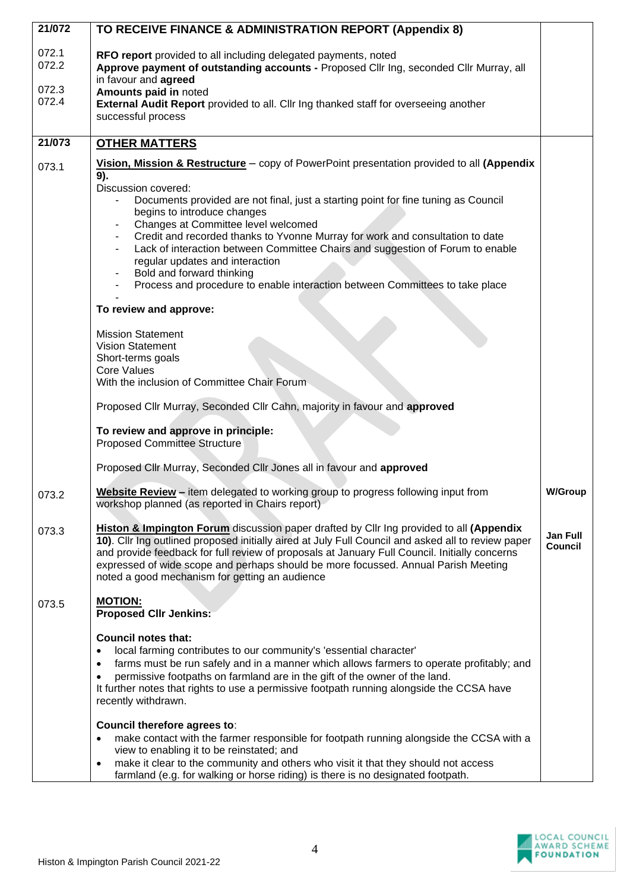| 21/072                           | TO RECEIVE FINANCE & ADMINISTRATION REPORT (Appendix 8)                                                                                                                                                                                                                                                                                                                                                                                                                                                                                                                                                                                                                                                                                                                                                                                                 |                                   |
|----------------------------------|---------------------------------------------------------------------------------------------------------------------------------------------------------------------------------------------------------------------------------------------------------------------------------------------------------------------------------------------------------------------------------------------------------------------------------------------------------------------------------------------------------------------------------------------------------------------------------------------------------------------------------------------------------------------------------------------------------------------------------------------------------------------------------------------------------------------------------------------------------|-----------------------------------|
| 072.1<br>072.2<br>072.3<br>072.4 | RFO report provided to all including delegated payments, noted<br>Approve payment of outstanding accounts - Proposed Cllr Ing, seconded Cllr Murray, all<br>in favour and agreed<br>Amounts paid in noted<br>External Audit Report provided to all. Cllr Ing thanked staff for overseeing another<br>successful process                                                                                                                                                                                                                                                                                                                                                                                                                                                                                                                                 |                                   |
| 21/073                           | <b>OTHER MATTERS</b>                                                                                                                                                                                                                                                                                                                                                                                                                                                                                                                                                                                                                                                                                                                                                                                                                                    |                                   |
| 073.1                            | Vision, Mission & Restructure – copy of PowerPoint presentation provided to all (Appendix<br>9).<br>Discussion covered:<br>Documents provided are not final, just a starting point for fine tuning as Council<br>begins to introduce changes<br>Changes at Committee level welcomed<br>Credit and recorded thanks to Yvonne Murray for work and consultation to date<br>Lack of interaction between Committee Chairs and suggestion of Forum to enable<br>regular updates and interaction<br>Bold and forward thinking<br>Process and procedure to enable interaction between Committees to take place<br>To review and approve:<br><b>Mission Statement</b><br><b>Vision Statement</b><br>Short-terms goals<br>Core Values<br>With the inclusion of Committee Chair Forum<br>Proposed Cllr Murray, Seconded Cllr Cahn, majority in favour and approved |                                   |
|                                  | To review and approve in principle:<br><b>Proposed Committee Structure</b>                                                                                                                                                                                                                                                                                                                                                                                                                                                                                                                                                                                                                                                                                                                                                                              |                                   |
|                                  | Proposed Cllr Murray, Seconded Cllr Jones all in favour and approved                                                                                                                                                                                                                                                                                                                                                                                                                                                                                                                                                                                                                                                                                                                                                                                    |                                   |
| 073.2                            | Website Review - item delegated to working group to progress following input from<br>workshop planned (as reported in Chairs report)                                                                                                                                                                                                                                                                                                                                                                                                                                                                                                                                                                                                                                                                                                                    | <b>W/Group</b>                    |
| 073.3                            | <b>Histon &amp; Impington Forum</b> discussion paper drafted by Cllr Ing provided to all (Appendix<br>10). Cllr Ing outlined proposed initially aired at July Full Council and asked all to review paper<br>and provide feedback for full review of proposals at January Full Council. Initially concerns<br>expressed of wide scope and perhaps should be more focussed. Annual Parish Meeting<br>noted a good mechanism for getting an audience                                                                                                                                                                                                                                                                                                                                                                                                       | <b>Jan Full</b><br><b>Council</b> |
| 073.5                            | <b>MOTION:</b><br><b>Proposed Cllr Jenkins:</b>                                                                                                                                                                                                                                                                                                                                                                                                                                                                                                                                                                                                                                                                                                                                                                                                         |                                   |
|                                  | <b>Council notes that:</b><br>local farming contributes to our community's 'essential character'<br>farms must be run safely and in a manner which allows farmers to operate profitably; and<br>$\bullet$<br>permissive footpaths on farmland are in the gift of the owner of the land.<br>It further notes that rights to use a permissive footpath running alongside the CCSA have<br>recently withdrawn.                                                                                                                                                                                                                                                                                                                                                                                                                                             |                                   |
|                                  | Council therefore agrees to:<br>make contact with the farmer responsible for footpath running alongside the CCSA with a<br>$\bullet$<br>view to enabling it to be reinstated; and<br>make it clear to the community and others who visit it that they should not access<br>$\bullet$<br>farmland (e.g. for walking or horse riding) is there is no designated footpath.                                                                                                                                                                                                                                                                                                                                                                                                                                                                                 |                                   |